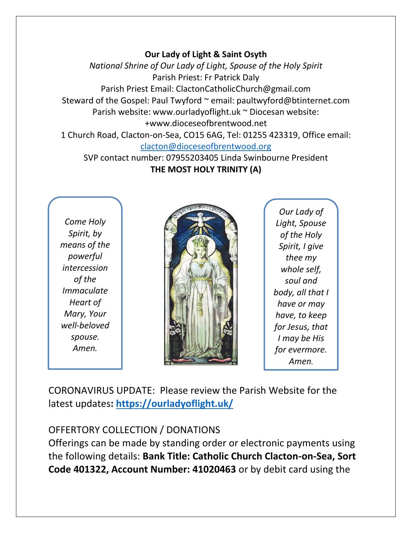#### **Our Lady of Light & Saint Osyth**

*National Shrine of Our Lady of Light, Spouse of the Holy Spirit* Parish Priest: Fr Patrick Daly Parish Priest Email: ClactonCatholicChurch@gmail.com Steward of the Gospel: Paul Twyford ~ email: paultwyford@btinternet.com Parish website: www.ourladyoflight.uk ~ Diocesan website: +www.dioceseofbrentwood.net 1 Church Road, Clacton-on-Sea, CO15 6AG, Tel: 01255 423319, Office email:

#### [clacton@dioceseofbrentwood.org](mailto:clacton@dioceseofbrentwood.org)

SVP contact number: 07955203405 Linda Swinbourne President **THE MOST HOLY TRINITY (A)**

*Come Holy Spirit, by means of the powerful intercession of the Immaculate Heart of Mary, Your well-beloved spouse. Amen.*



*Our Lady of Light, Spouse of the Holy Spirit, I give thee my whole self, soul and body, all that I have or may have, to keep for Jesus, that I may be His for evermore. Amen.*

CORONAVIRUS UPDATE: Please review the Parish Website for the latest updates**:<https://ourladyoflight.uk/>**

## OFFERTORY COLLECTION / DONATIONS

Offerings can be made by standing order or electronic payments using the following details: **Bank Title: Catholic Church Clacton-on-Sea, Sort Code 401322, Account Number: 41020463** or by debit card using the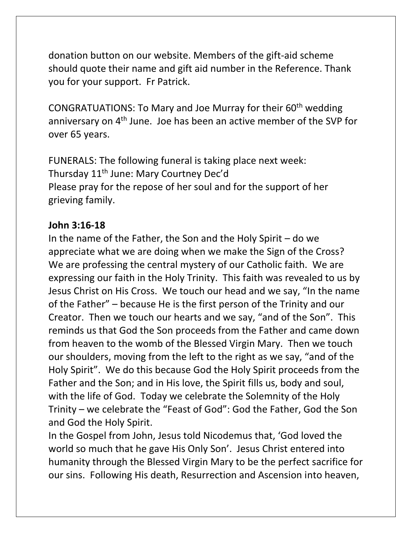donation button on our website. Members of the gift-aid scheme should quote their name and gift aid number in the Reference. Thank you for your support. Fr Patrick.

CONGRATUATIONS: To Mary and Joe Murray for their 60<sup>th</sup> wedding anniversary on 4<sup>th</sup> June. Joe has been an active member of the SVP for over 65 years.

FUNERALS: The following funeral is taking place next week: Thursday 11th June: Mary Courtney Dec'd Please pray for the repose of her soul and for the support of her grieving family.

#### **John 3:16-18**

In the name of the Father, the Son and the Holy Spirit – do we appreciate what we are doing when we make the Sign of the Cross? We are professing the central mystery of our Catholic faith. We are expressing our faith in the Holy Trinity. This faith was revealed to us by Jesus Christ on His Cross. We touch our head and we say, "In the name of the Father" – because He is the first person of the Trinity and our Creator. Then we touch our hearts and we say, "and of the Son". This reminds us that God the Son proceeds from the Father and came down from heaven to the womb of the Blessed Virgin Mary. Then we touch our shoulders, moving from the left to the right as we say, "and of the Holy Spirit". We do this because God the Holy Spirit proceeds from the Father and the Son; and in His love, the Spirit fills us, body and soul, with the life of God. Today we celebrate the Solemnity of the Holy Trinity – we celebrate the "Feast of God": God the Father, God the Son and God the Holy Spirit.

In the Gospel from John, Jesus told Nicodemus that, 'God loved the world so much that he gave His Only Son'. Jesus Christ entered into humanity through the Blessed Virgin Mary to be the perfect sacrifice for our sins. Following His death, Resurrection and Ascension into heaven,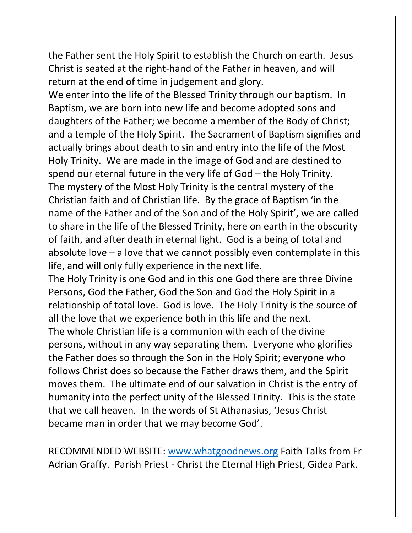the Father sent the Holy Spirit to establish the Church on earth. Jesus Christ is seated at the right-hand of the Father in heaven, and will return at the end of time in judgement and glory.

We enter into the life of the Blessed Trinity through our baptism. In Baptism, we are born into new life and become adopted sons and daughters of the Father; we become a member of the Body of Christ; and a temple of the Holy Spirit. The Sacrament of Baptism signifies and actually brings about death to sin and entry into the life of the Most Holy Trinity. We are made in the image of God and are destined to spend our eternal future in the very life of God – the Holy Trinity. The mystery of the Most Holy Trinity is the central mystery of the Christian faith and of Christian life. By the grace of Baptism 'in the name of the Father and of the Son and of the Holy Spirit', we are called to share in the life of the Blessed Trinity, here on earth in the obscurity of faith, and after death in eternal light. God is a being of total and absolute love – a love that we cannot possibly even contemplate in this life, and will only fully experience in the next life.

The Holy Trinity is one God and in this one God there are three Divine Persons, God the Father, God the Son and God the Holy Spirit in a relationship of total love. God is love. The Holy Trinity is the source of all the love that we experience both in this life and the next. The whole Christian life is a communion with each of the divine persons, without in any way separating them. Everyone who glorifies the Father does so through the Son in the Holy Spirit; everyone who follows Christ does so because the Father draws them, and the Spirit moves them. The ultimate end of our salvation in Christ is the entry of humanity into the perfect unity of the Blessed Trinity. This is the state that we call heaven. In the words of St Athanasius, 'Jesus Christ became man in order that we may become God'.

RECOMMENDED WEBSITE: [www.whatgoodnews.org](http://www.whatgoodnews.org/) Faith Talks from Fr Adrian Graffy. Parish Priest - Christ the Eternal High Priest, Gidea Park.